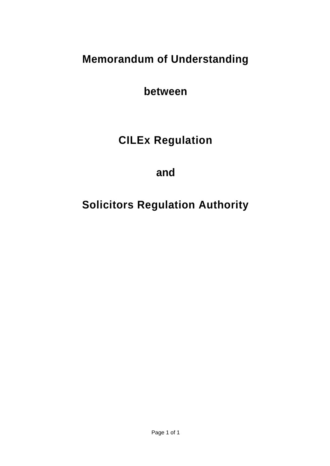# **Memorandum of Understanding**

**between**

# **CILEx Regulation**

**and**

# **Solicitors Regulation Authority**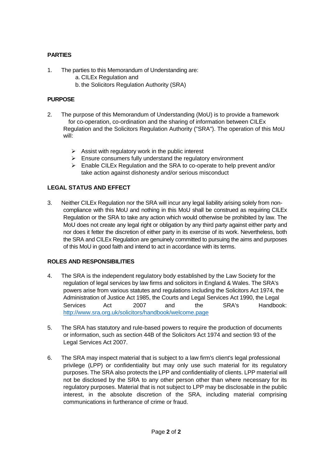## **PARTIES**

- 1. The parties to this Memorandum of Understanding are:
	- a. CILEx Regulation and
	- b. the Solicitors Regulation Authority (SRA)

#### **PURPOSE**

- 2. The purpose of this Memorandum of Understanding (MoU) is to provide a framework for co-operation, co-ordination and the sharing of information between CILEx Regulation and the Solicitors Regulation Authority ("SRA"). The operation of this MoU will:
	- $\triangleright$  Assist with regulatory work in the public interest
	- ➢ Ensure consumers fully understand the regulatory environment
	- ➢ Enable CILEx Regulation and the SRA to co-operate to help prevent and/or take action against dishonesty and/or serious misconduct

### **LEGAL STATUS AND EFFECT**

3. Neither CILEx Regulation nor the SRA will incur any legal liability arising solely from noncompliance with this MoU and nothing in this MoU shall be construed as requiring CILEx Regulation or the SRA to take any action which would otherwise be prohibited by law. The MoU does not create any legal right or obligation by any third party against either party and nor does it fetter the discretion of either party in its exercise of its work. Nevertheless, both the SRA and CILEx Regulation are genuinely committed to pursuing the aims and purposes of this MoU in good faith and intend to act in accordance with its terms.

#### **ROLES AND RESPONSIBILITIES**

- 4. The SRA is the independent regulatory body established by the Law Society for the regulation of legal services by law firms and solicitors in England & Wales. The SRA's powers arise from various statutes and regulations including the Solicitors Act 1974, the Administration of Justice Act 1985, the Courts and Legal Services Act 1990, the Legal Services Act 2007 and the SRA's Handbook: <http://www.sra.org.uk/solicitors/handbook/welcome.page>
- 5. The SRA has statutory and rule-based powers to require the production of documents or information, such as section 44B of the Solicitors Act 1974 and section 93 of the Legal Services Act 2007.
- 6. The SRA may inspect material that is subject to a law firm's client's legal professional privilege (LPP) or confidentiality but may only use such material for its regulatory purposes. The SRA also protects the LPP and confidentiality of clients. LPP material will not be disclosed by the SRA to any other person other than where necessary for its regulatory purposes. Material that is not subject to LPP may be disclosable in the public interest, in the absolute discretion of the SRA, including material comprising communications in furtherance of crime or fraud.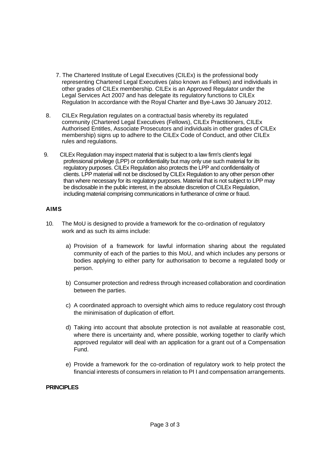- 7. The Chartered Institute of Legal Executives (CILEx) is the professional body representing Chartered Legal Executives (also known as Fellows) and individuals in other grades of CILEx membership. CILEx is an Approved Regulator under the Legal Services Act 2007 and has delegate its regulatory functions to CILEx Regulation In accordance with the Royal Charter and Bye-Laws 30 January 2012.
- 8. CILEx Regulation regulates on a contractual basis whereby its regulated community (Chartered Legal Executives (Fellows), CILEx Practitioners, CILEx Authorised Entitles, Associate Prosecutors and individuals in other grades of CILEx membership) signs up to adhere to the CILEx Code of Conduct, and other CILEx rules and regulations.
- 9. CILEx Regulation may inspect material that is subject to a law firm's client's legal professional privilege (LPP) or confidentiality but may only use such material for its regulatory purposes. CILEx Regulation also protects the LPP and confidentiality of clients. LPP material will not be disclosed by CILEx Regulation to any other person other than where necessary for its regulatory purposes. Material that is not subject to LPP may be disclosable in the public interest, in the absolute discretion of CILEx Regulation, including material comprising communications in furtherance of crime or fraud.

### **AIMS**

- 10. The MoU is designed to provide a framework for the co-ordination of regulatory work and as such its aims include:
	- a) Provision of a framework for lawful information sharing about the regulated community of each of the parties to this MoU, and which includes any persons or bodies applying to either party for authorisation to become a regulated body or person.
	- b) Consumer protection and redress through increased collaboration and coordination between the parties.
	- c) A coordinated approach to oversight which aims to reduce regulatory cost through the minimisation of duplication of effort.
	- d) Taking into account that absolute protection is not available at reasonable cost, where there is uncertainty and, where possible, working together to clarify which approved regulator will deal with an application for a grant out of a Compensation Fund.
	- e) Provide a framework for the co-ordination of regulatory work to help protect the financial interests of consumers in relation to PI I and compensation arrangements.

#### **PRINCIPLES**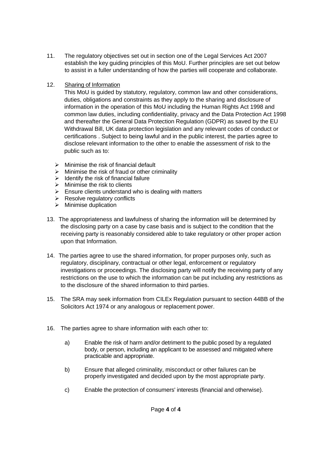- 11. The regulatory objectives set out in section one of the Legal Services Act 2007 establish the key guiding principles of this MoU. Further principles are set out below to assist in a fuller understanding of how the parties will cooperate and collaborate.
- 12. Sharing of Information

This MoU is guided by statutory, regulatory, common law and other considerations, duties, obligations and constraints as they apply to the sharing and disclosure of information in the operation of this MoU including the Human Rights Act 1998 and common law duties, including confidentiality, privacy and the Data Protection Act 1998 and thereafter the General Data Protection Regulation (GDPR) as saved by the EU Withdrawal Bill, UK data protection legislation and any relevant codes of conduct or certifications . Subject to being lawful and in the public interest, the parties agree to disclose relevant information to the other to enable the assessment of risk to the public such as to:

- $\triangleright$  Minimise the risk of financial default
- $\triangleright$  Minimise the risk of fraud or other criminality
- $\triangleright$  Identify the risk of financial failure
- $\triangleright$  Minimise the risk to clients
- $\triangleright$  Ensure clients understand who is dealing with matters
- $\triangleright$  Resolve regulatory conflicts
- ➢ Minimise duplication
- 13. The appropriateness and lawfulness of sharing the information will be determined by the disclosing party on a case by case basis and is subject to the condition that the receiving party is reasonably considered able to take regulatory or other proper action upon that Information.
- 14. The parties agree to use the shared information, for proper purposes only, such as regulatory, disciplinary, contractual or other legal, enforcement or regulatory investigations or proceedings. The disclosing party will notify the receiving party of any restrictions on the use to which the information can be put including any restrictions as to the disclosure of the shared information to third parties.
- 15. The SRA may seek information from CILEx Regulation pursuant to section 44BB of the Solicitors Act 1974 or any analogous or replacement power.
- 16. The parties agree to share information with each other to:
	- a) Enable the risk of harm and/or detriment to the public posed by a regulated body, or person, including an applicant to be assessed and mitigated where practicable and appropriate.
	- b) Ensure that alleged criminality, misconduct or other failures can be properly investigated and decided upon by the most appropriate party.
	- c) Enable the protection of consumers' interests (financial and otherwise).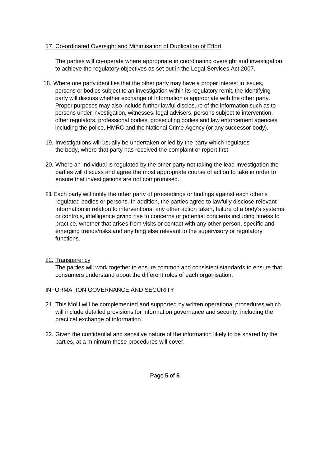#### 17. Co-ordinated Oversight and Minimisation of Duplication of Effort

The parties will co-operate where appropriate in coordinating oversight and investigation to achieve the regulatory objectives as set out in the Legal Services Act 2007.

- 18. Where one party identifies that the other party may have a proper interest in issues, persons or bodies subject to an investigation within its regulatory remit, the Identifying party will discuss whether exchange of Information is appropriate with the other party. Proper purposes may also include further lawful disclosure of the information such as to persons under investigation, witnesses, legal advisers, persons subject to intervention, other regulators, professional bodies, prosecuting bodies and law enforcement agencies including the police, HMRC and the National Crime Agency (or any successor body).
- 19. Investigations will usually be undertaken or led by the party which regulates the body, where that party has received the complaint or report first.
- 20. Where an Individual is regulated by the other party not taking the lead Investigation the parties will discuss and agree the most appropriate course of action to take in order to ensure that investigations are not compromised.
- 21 Each party will notify the other party of proceedings or findings against each other's regulated bodies or persons. In addition, the parties agree to lawfully disclose relevant information in relation to interventions, any other action taken, failure of a body's systems or controls, intelligence giving rise to concerns or potential concerns including fitness to practice, whether that arises from visits or contact with any other person, specific and emerging trends/risks and anything else relevant to the supervisory or regulatory functions.

#### 22. Transparency

The parties will work together to ensure common and consistent standards to ensure that consumers understand about the different roles of each organisation.

#### INFORMATION GOVERNANCE AND SECURITY

- 21. This MoU will be complemented and supported by written operational procedures which will include detailed provisions for information governance and security, including the practical exchange of information.
- 22. Given the confidential and sensitive nature of the information likely to be shared by the parties, at a minimum these procedures will cover: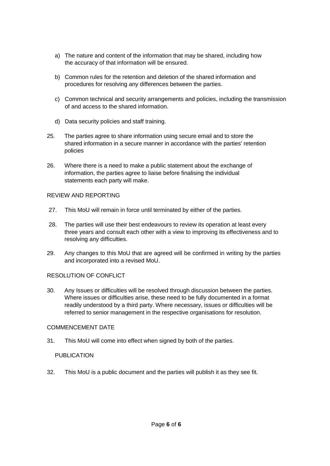- a) The nature and content of the information that may be shared, including how the accuracy of that information will be ensured.
- b) Common rules for the retention and deletion of the shared information and procedures for resolving any differences between the parties.
- c) Common technical and security arrangements and policies, including the transmission of and access to the shared information.
- d) Data security policies and staff training.
- 25. The parties agree to share information using secure email and to store the shared information in a secure manner in accordance with the parties' retention policies
- 26. Where there is a need to make a public statement about the exchange of information, the parties agree to liaise before finalising the individual statements each party will make.

#### REVIEW AND REPORTING

- 27. This MoU will remain in force until terminated by either of the parties.
- 28. The parties will use their best endeavours to review its operation at least every three years and consult each other with a view to improving its effectiveness and to resolving any difficulties.
- 29. Any changes to this MoU that are agreed will be confirmed in writing by the parties and incorporated into a revised MoU.

#### RESOLUTION OF CONFLICT

30. Any Issues or difficulties will be resolved through discussion between the parties. Where issues or difficulties arise, these need to be fully documented in a format readily understood by a third party. Where necessary, issues or difficulties will be referred to senior management in the respective organisations for resolution.

#### COMMENCEMENT DATE

31. This MoU will come into effect when signed by both of the parties.

#### PUBLICATION

32. This MoU is a public document and the parties will publish it as they see fit.